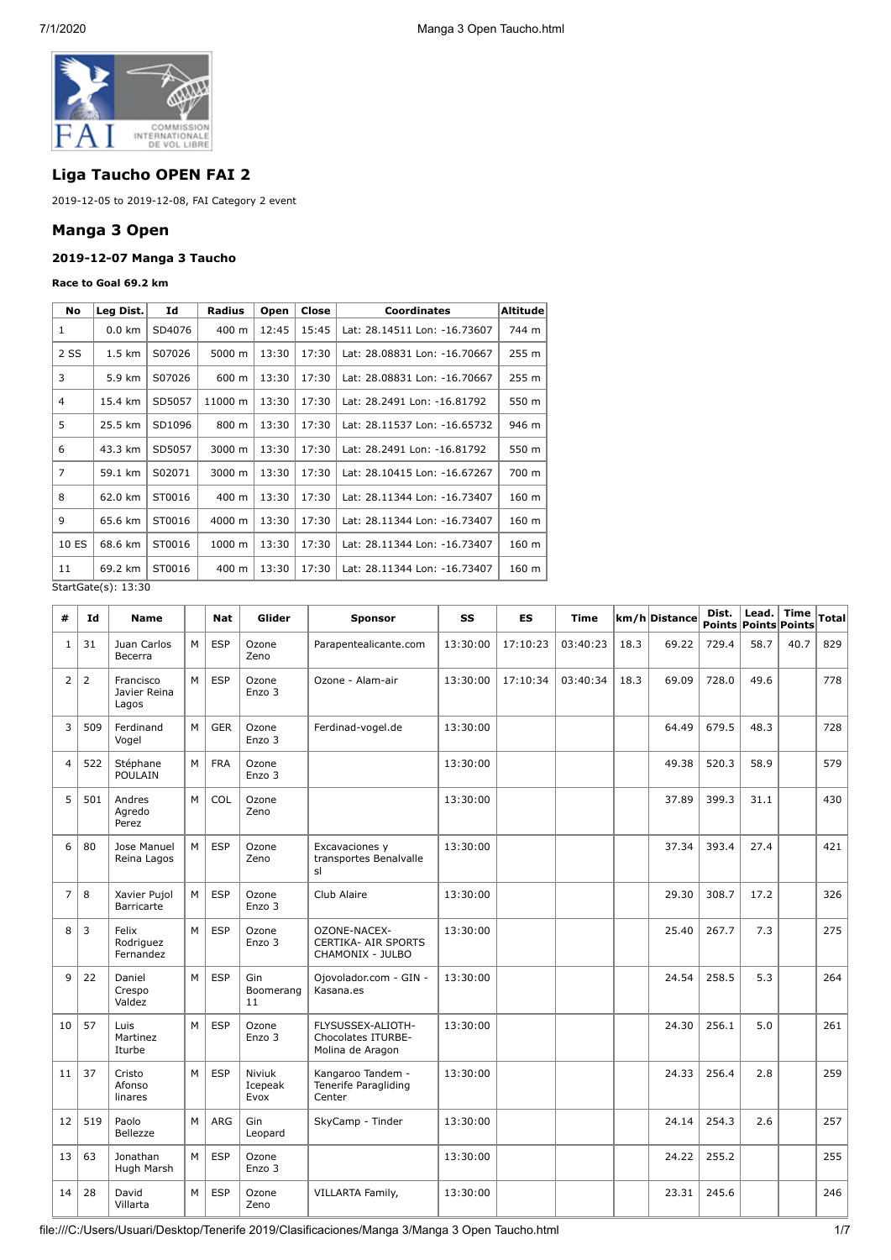

# **Liga Taucho OPEN FAI 2**

2019-12-05 to 2019-12-08, FAI Category 2 event

# **Manga 3 Open**

## **2019-12-07 Manga 3 Taucho**

#### **Race to Goal 69.2 km**

| No             | Leg Dist.                                   | Id     | Radius                       | Open  | Close | <b>Coordinates</b>           | Altitude         |
|----------------|---------------------------------------------|--------|------------------------------|-------|-------|------------------------------|------------------|
| 1              | $0.0 \text{ km}$                            | SD4076 | 400 m                        | 12:45 | 15:45 | Lat: 28.14511 Lon: -16.73607 | 744 m            |
| 2 SS           | $1.5 \text{ km}$                            | S07026 | 5000 m                       | 13:30 | 17:30 | Lat: 28.08831 Lon: -16.70667 | 255 m            |
| 3              | 5.9 km<br>600 m<br>13:30<br>17:30<br>S07026 |        | Lat: 28.08831 Lon: -16.70667 | 255 m |       |                              |                  |
| 4              | 15.4 km                                     | SD5057 | 11000 m                      | 13:30 | 17:30 | Lat: 28.2491 Lon: -16.81792  | 550 m            |
| 5              | 25.5 km                                     | SD1096 | 800 m                        | 13:30 | 17:30 | Lat: 28.11537 Lon: -16.65732 | 946 m            |
| 6              | 43.3 km                                     | SD5057 | 3000 m                       | 13:30 | 17:30 | Lat: 28.2491 Lon: -16.81792  | 550 m            |
| $\overline{7}$ | 59.1 km                                     | S02071 | 3000 m                       | 13:30 | 17:30 | Lat: 28.10415 Lon: -16.67267 | 700 m            |
| 8              | 62.0 km                                     | ST0016 | 400 m                        | 13:30 | 17:30 | Lat: 28.11344 Lon: -16.73407 | 160 m            |
| $\mathsf q$    | 65.6 km                                     | ST0016 | 4000 m                       | 13:30 | 17:30 | Lat: 28.11344 Lon: -16.73407 | 160 <sub>m</sub> |
| 10 ES          | 68.6 km                                     | ST0016 | 1000 m                       | 13:30 | 17:30 | Lat: 28.11344 Lon: -16.73407 | 160 m            |
| 11             | 69.2 km                                     | ST0016 | 400 m                        | 13:30 | 17:30 | Lat: 28.11344 Lon: -16.73407 | 160 <sub>m</sub> |

StartGate(s): 13:30

| #              | Id  | <b>Name</b>                        |   | <b>Nat</b> | Glider                    | <b>Sponsor</b>                                                     | SS       | <b>ES</b> | Time     |      | km/h Distance | Dist. | Lead.<br><b>Points Points Points</b> | Time | Total |
|----------------|-----|------------------------------------|---|------------|---------------------------|--------------------------------------------------------------------|----------|-----------|----------|------|---------------|-------|--------------------------------------|------|-------|
| 1              | 31  | Juan Carlos<br>Becerra             | M | <b>ESP</b> | Ozone<br>Zeno             | Parapentealicante.com                                              | 13:30:00 | 17:10:23  | 03:40:23 | 18.3 | 69.22         | 729.4 | 58.7                                 | 40.7 | 829   |
| $\overline{2}$ | 2   | Francisco<br>Javier Reina<br>Lagos | M | <b>ESP</b> | Ozone<br>Enzo 3           | Ozone - Alam-air                                                   | 13:30:00 | 17:10:34  | 03:40:34 | 18.3 | 69.09         | 728.0 | 49.6                                 |      | 778   |
| 3              | 509 | Ferdinand<br>Vogel                 | M | <b>GER</b> | Ozone<br>Enzo 3           | Ferdinad-vogel.de                                                  | 13:30:00 |           |          |      | 64.49         | 679.5 | 48.3                                 |      | 728   |
| $\overline{4}$ | 522 | Stéphane<br><b>POULAIN</b>         | M | <b>FRA</b> | Ozone<br>Enzo 3           |                                                                    | 13:30:00 |           |          |      | 49.38         | 520.3 | 58.9                                 |      | 579   |
| 5              | 501 | Andres<br>Agredo<br>Perez          | M | COL        | Ozone<br>Zeno             |                                                                    | 13:30:00 |           |          |      | 37.89         | 399.3 | 31.1                                 |      | 430   |
| 6              | 80  | Jose Manuel<br>Reina Lagos         | M | <b>ESP</b> | Ozone<br>Zeno             | Excavaciones y<br>transportes Benalvalle<br>sl                     | 13:30:00 |           |          |      | 37.34         | 393.4 | 27.4                                 |      | 421   |
| $\overline{7}$ | 8   | Xavier Pujol<br>Barricarte         | M | <b>ESP</b> | Ozone<br>Enzo 3           | Club Alaire                                                        | 13:30:00 |           |          |      | 29.30         | 308.7 | 17.2                                 |      | 326   |
| 8              | 3   | Felix<br>Rodriguez<br>Fernandez    | M | <b>ESP</b> | Ozone<br>Enzo 3           | OZONE-NACEX-<br><b>CERTIKA- AIR SPORTS</b><br>CHAMONIX - JULBO     | 13:30:00 |           |          |      | 25.40         | 267.7 | 7.3                                  |      | 275   |
| 9              | 22  | Daniel<br>Crespo<br>Valdez         | M | <b>ESP</b> | Gin<br>Boomerang<br>11    | Ojovolador.com - GIN -<br>Kasana.es                                | 13:30:00 |           |          |      | 24.54         | 258.5 | 5.3                                  |      | 264   |
| 10             | 57  | Luis<br>Martinez<br>Iturbe         | M | <b>ESP</b> | Ozone<br>Enzo 3           | FLYSUSSEX-ALIOTH-<br><b>Chocolates ITURBE-</b><br>Molina de Aragon | 13:30:00 |           |          |      | 24.30         | 256.1 | 5.0                                  |      | 261   |
| 11             | 37  | Cristo<br>Afonso<br>linares        | M | <b>ESP</b> | Niviuk<br>Icepeak<br>Evox | Kangaroo Tandem -<br>Tenerife Paragliding<br>Center                | 13:30:00 |           |          |      | 24.33         | 256.4 | 2.8                                  |      | 259   |
| 12             | 519 | Paolo<br>Bellezze                  | M | ARG        | Gin<br>Leopard            | SkyCamp - Tinder                                                   | 13:30:00 |           |          |      | 24.14         | 254.3 | 2.6                                  |      | 257   |
| 13             | 63  | Jonathan<br>Hugh Marsh             | M | <b>ESP</b> | Ozone<br>Enzo 3           |                                                                    | 13:30:00 |           |          |      | 24.22         | 255.2 |                                      |      | 255   |
| 14             | 28  | David<br>Villarta                  | M | <b>ESP</b> | Ozone<br>Zeno             | VILLARTA Family,                                                   | 13:30:00 |           |          |      | 23.31         | 245.6 |                                      |      | 246   |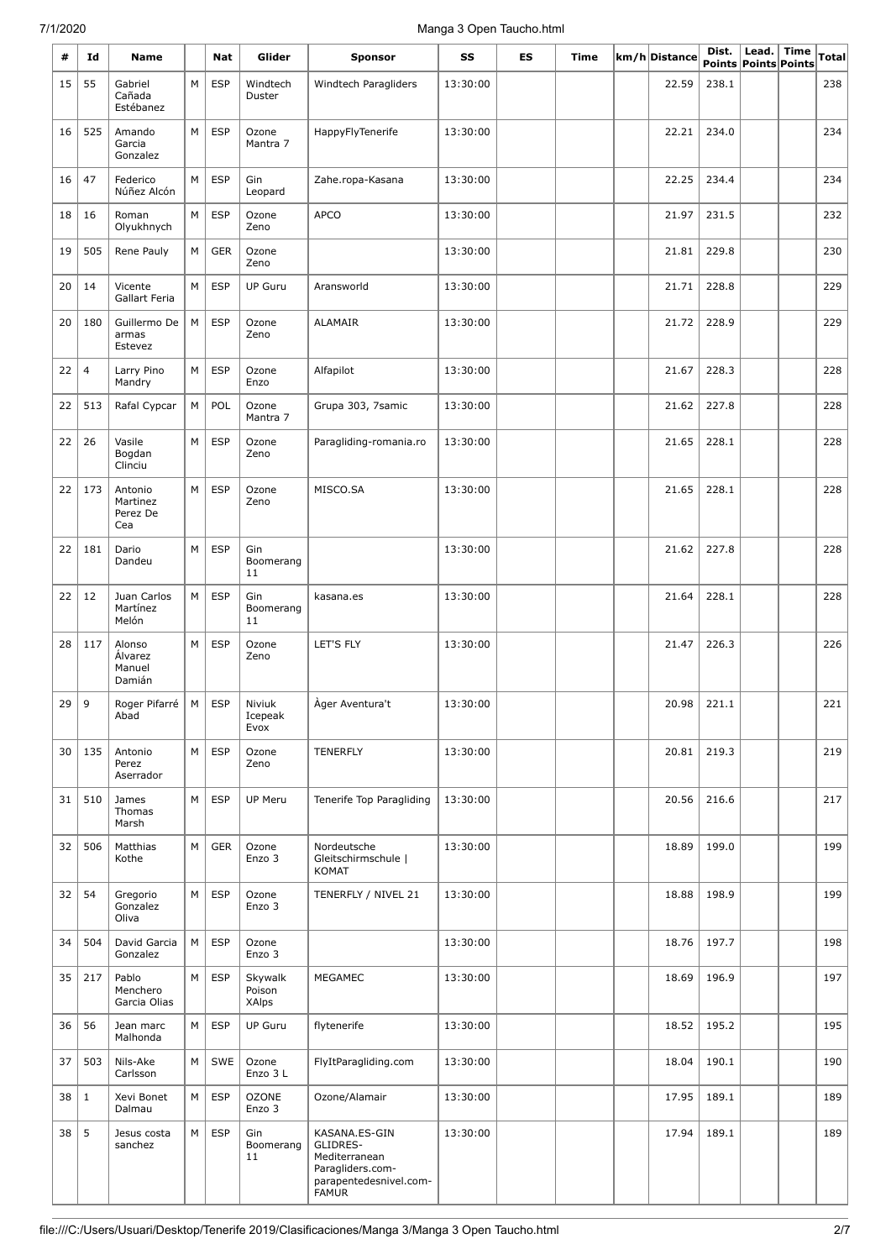# 7/1/2020 Manga 3 Open Taucho.html

| #  | Id             | <b>Name</b>                            |   | Nat        | Glider                            | <b>Sponsor</b>                                                                                           | SS       | ES | Time | km/h Distance | Dist. | Lead.<br>Points Points Points | <b>Time</b> | <b>Total</b> |
|----|----------------|----------------------------------------|---|------------|-----------------------------------|----------------------------------------------------------------------------------------------------------|----------|----|------|---------------|-------|-------------------------------|-------------|--------------|
| 15 | 55             | Gabriel<br>Cañada<br>Estébanez         | M | <b>ESP</b> | Windtech<br>Duster                | Windtech Paragliders                                                                                     | 13:30:00 |    |      | 22.59         | 238.1 |                               |             | 238          |
| 16 | 525            | Amando<br>Garcia<br>Gonzalez           | M | <b>ESP</b> | Ozone<br>Mantra 7                 | HappyFlyTenerife                                                                                         | 13:30:00 |    |      | 22.21         | 234.0 |                               |             | 234          |
| 16 | 47             | Federico<br>Núñez Alcón                | М | <b>ESP</b> | Gin<br>Leopard                    | Zahe.ropa-Kasana                                                                                         | 13:30:00 |    |      | 22.25         | 234.4 |                               |             | 234          |
| 18 | 16             | Roman<br>Olyukhnych                    | М | <b>ESP</b> | Ozone<br>Zeno                     | <b>APCO</b>                                                                                              | 13:30:00 |    |      | 21.97         | 231.5 |                               |             | 232          |
| 19 | 505            | Rene Pauly                             | М | <b>GER</b> | Ozone<br>Zeno                     |                                                                                                          | 13:30:00 |    |      | 21.81         | 229.8 |                               |             | 230          |
| 20 | 14             | Vicente<br>Gallart Feria               | М | <b>ESP</b> | <b>UP Guru</b>                    | Aransworld                                                                                               | 13:30:00 |    |      | 21.71         | 228.8 |                               |             | 229          |
| 20 | 180            | Guillermo De<br>armas<br>Estevez       | М | <b>ESP</b> | Ozone<br>Zeno                     | <b>ALAMAIR</b>                                                                                           | 13:30:00 |    |      | 21.72         | 228.9 |                               |             | 229          |
| 22 | $\overline{4}$ | Larry Pino<br>Mandry                   | М | <b>ESP</b> | Ozone<br>Enzo                     | Alfapilot                                                                                                | 13:30:00 |    |      | 21.67         | 228.3 |                               |             | 228          |
| 22 | 513            | Rafal Cypcar                           | М | POL        | Ozone<br>Mantra 7                 | Grupa 303, 7samic                                                                                        | 13:30:00 |    |      | 21.62         | 227.8 |                               |             | 228          |
| 22 | 26             | Vasile<br>Bogdan<br>Clinciu            | М | <b>ESP</b> | Ozone<br>Zeno                     | Paragliding-romania.ro                                                                                   | 13:30:00 |    |      | 21.65         | 228.1 |                               |             | 228          |
| 22 | 173            | Antonio<br>Martinez<br>Perez De<br>Cea | M | <b>ESP</b> | Ozone<br>Zeno                     | MISCO.SA                                                                                                 | 13:30:00 |    |      | 21.65         | 228.1 |                               |             | 228          |
| 22 | 181            | Dario<br>Dandeu                        | М | <b>ESP</b> | Gin<br>Boomerang<br>11            |                                                                                                          | 13:30:00 |    |      | 21.62         | 227.8 |                               |             | 228          |
| 22 | 12             | Juan Carlos<br>Martínez<br>Melón       | М | <b>ESP</b> | Gin<br>Boomerang<br>11            | kasana.es                                                                                                | 13:30:00 |    |      | 21.64         | 228.1 |                               |             | 228          |
| 28 | 117            | Alonso<br>Álvarez<br>Manuel<br>Damián  | M | <b>ESP</b> | Ozone<br>Zeno                     | LET'S FLY                                                                                                | 13:30:00 |    |      | 21.47         | 226.3 |                               |             | 226          |
| 29 | 9              | Roger Pifarré<br>Abad                  | M | <b>ESP</b> | Niviuk<br>Icepeak<br>Evox         | Ager Aventura't                                                                                          | 13:30:00 |    |      | 20.98         | 221.1 |                               |             | 221          |
| 30 | 135            | Antonio<br>Perez<br>Aserrador          | М | <b>ESP</b> | Ozone<br>Zeno                     | <b>TENERFLY</b>                                                                                          | 13:30:00 |    |      | 20.81         | 219.3 |                               |             | 219          |
| 31 | 510            | James<br>Thomas<br>Marsh               | М | <b>ESP</b> | UP Meru                           | Tenerife Top Paragliding                                                                                 | 13:30:00 |    |      | 20.56         | 216.6 |                               |             | 217          |
| 32 | 506            | Matthias<br>Kothe                      | M | <b>GER</b> | Ozone<br>Enzo 3                   | Nordeutsche<br>Gleitschirmschule  <br><b>KOMAT</b>                                                       | 13:30:00 |    |      | 18.89         | 199.0 |                               |             | 199          |
| 32 | 54             | Gregorio<br>Gonzalez<br>Oliva          | M | <b>ESP</b> | Ozone<br>Enzo 3                   | TENERFLY / NIVEL 21                                                                                      | 13:30:00 |    |      | 18.88         | 198.9 |                               |             | 199          |
| 34 | 504            | David Garcia<br>Gonzalez               | М | <b>ESP</b> | Ozone<br>Enzo 3                   |                                                                                                          | 13:30:00 |    |      | 18.76         | 197.7 |                               |             | 198          |
| 35 | 217            | Pablo<br>Menchero<br>Garcia Olias      | М | <b>ESP</b> | Skywalk<br>Poison<br><b>XAlps</b> | <b>MEGAMEC</b>                                                                                           | 13:30:00 |    |      | 18.69         | 196.9 |                               |             | 197          |
| 36 | 56             | Jean marc<br>Malhonda                  | M | <b>ESP</b> | <b>UP Guru</b>                    | flytenerife                                                                                              | 13:30:00 |    |      | 18.52         | 195.2 |                               |             | 195          |
| 37 | 503            | Nils-Ake<br>Carlsson                   | M | SWE        | Ozone<br>Enzo 3 L                 | FlyItParagliding.com                                                                                     | 13:30:00 |    |      | 18.04         | 190.1 |                               |             | 190          |
| 38 | $\mathbf{1}$   | Xevi Bonet<br>Dalmau                   | M | <b>ESP</b> | <b>OZONE</b><br>Enzo 3            | Ozone/Alamair                                                                                            | 13:30:00 |    |      | 17.95         | 189.1 |                               |             | 189          |
| 38 | 5              | Jesus costa<br>sanchez                 | М | <b>ESP</b> | Gin<br>Boomerang<br>11            | KASANA.ES-GIN<br>GLIDRES-<br>Mediterranean<br>Paragliders.com-<br>parapentedesnivel.com-<br><b>FAMUR</b> | 13:30:00 |    |      | 17.94         | 189.1 |                               |             | 189          |

L,

L,

L,

L,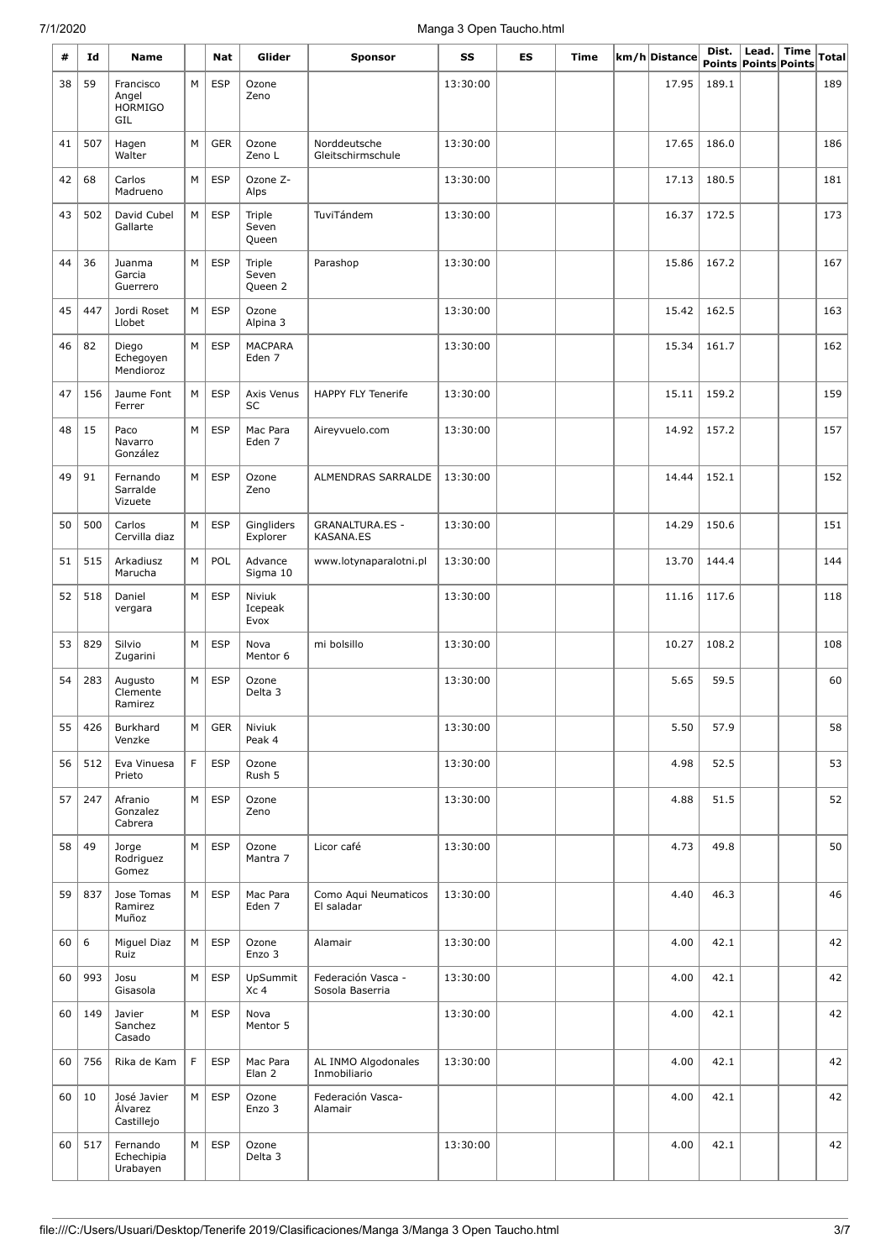## 7/1/2020 Manga 3 Open Taucho.html

| #  | Id  | Name                                        |   | Nat        | Glider                     | <b>Sponsor</b>                        | SS       | ES | Time | km/h Distance | Dist. | Lead.<br>Points Points Points | Time | Total |
|----|-----|---------------------------------------------|---|------------|----------------------------|---------------------------------------|----------|----|------|---------------|-------|-------------------------------|------|-------|
| 38 | 59  | Francisco<br>Angel<br><b>HORMIGO</b><br>GIL | M | <b>ESP</b> | Ozone<br>Zeno              |                                       | 13:30:00 |    |      | 17.95         | 189.1 |                               |      | 189   |
| 41 | 507 | Hagen<br>Walter                             | M | <b>GER</b> | Ozone<br>Zeno L            | Norddeutsche<br>Gleitschirmschule     | 13:30:00 |    |      | 17.65         | 186.0 |                               |      | 186   |
| 42 | 68  | Carlos<br>Madrueno                          | M | <b>ESP</b> | Ozone Z-<br>Alps           |                                       | 13:30:00 |    |      | 17.13         | 180.5 |                               |      | 181   |
| 43 | 502 | David Cubel<br>Gallarte                     | M | <b>ESP</b> | Triple<br>Seven<br>Queen   | TuviTándem                            | 13:30:00 |    |      | 16.37         | 172.5 |                               |      | 173   |
| 44 | 36  | Juanma<br>Garcia<br>Guerrero                | M | <b>ESP</b> | Triple<br>Seven<br>Queen 2 | Parashop                              | 13:30:00 |    |      | 15.86         | 167.2 |                               |      | 167   |
| 45 | 447 | Jordi Roset<br>Llobet                       | M | <b>ESP</b> | Ozone<br>Alpina 3          |                                       | 13:30:00 |    |      | 15.42         | 162.5 |                               |      | 163   |
| 46 | 82  | Diego<br>Echegoyen<br>Mendioroz             | M | <b>ESP</b> | <b>MACPARA</b><br>Eden 7   |                                       | 13:30:00 |    |      | 15.34         | 161.7 |                               |      | 162   |
| 47 | 156 | Jaume Font<br>Ferrer                        | M | <b>ESP</b> | Axis Venus<br><b>SC</b>    | <b>HAPPY FLY Tenerife</b>             | 13:30:00 |    |      | 15.11         | 159.2 |                               |      | 159   |
| 48 | 15  | Paco<br>Navarro<br>González                 | M | <b>ESP</b> | Mac Para<br>Eden 7         | Aireyvuelo.com                        | 13:30:00 |    |      | 14.92         | 157.2 |                               |      | 157   |
| 49 | 91  | Fernando<br>Sarralde<br>Vizuete             | M | <b>ESP</b> | Ozone<br>Zeno              | ALMENDRAS SARRALDE                    | 13:30:00 |    |      | 14.44         | 152.1 |                               |      | 152   |
| 50 | 500 | Carlos<br>Cervilla diaz                     | M | <b>ESP</b> | Gingliders<br>Explorer     | <b>GRANALTURA.ES -</b><br>KASANA.ES   | 13:30:00 |    |      | 14.29         | 150.6 |                               |      | 151   |
| 51 | 515 | Arkadiusz<br>Marucha                        | M | POL        | Advance<br>Sigma 10        | www.lotynaparalotni.pl                | 13:30:00 |    |      | 13.70         | 144.4 |                               |      | 144   |
| 52 | 518 | Daniel<br>vergara                           | M | <b>ESP</b> | Niviuk<br>Icepeak<br>Evox  |                                       | 13:30:00 |    |      | 11.16         | 117.6 |                               |      | 118   |
| 53 | 829 | Silvio<br>Zugarini                          | M | <b>ESP</b> | Nova<br>Mentor 6           | mi bolsillo                           | 13:30:00 |    |      | 10.27         | 108.2 |                               |      | 108   |
| 54 | 283 | Augusto<br>Clemente<br>Ramirez              | M | <b>ESP</b> | Ozone<br>Delta 3           |                                       | 13:30:00 |    |      | 5.65          | 59.5  |                               |      | 60    |
| 55 | 426 | Burkhard<br>Venzke                          | М | GER        | Niviuk<br>Peak 4           |                                       | 13:30:00 |    |      | 5.50          | 57.9  |                               |      | 58    |
| 56 | 512 | Eva Vinuesa<br>Prieto                       | F | <b>ESP</b> | Ozone<br>Rush 5            |                                       | 13:30:00 |    |      | 4.98          | 52.5  |                               |      | 53    |
| 57 | 247 | Afranio<br>Gonzalez<br>Cabrera              | М | <b>ESP</b> | Ozone<br>Zeno              |                                       | 13:30:00 |    |      | 4.88          | 51.5  |                               |      | 52    |
| 58 | 49  | Jorge<br>Rodriguez<br>Gomez                 | M | <b>ESP</b> | Ozone<br>Mantra 7          | Licor café                            | 13:30:00 |    |      | 4.73          | 49.8  |                               |      | 50    |
| 59 | 837 | Jose Tomas<br>Ramirez<br>Muñoz              | М | <b>ESP</b> | Mac Para<br>Eden 7         | Como Aqui Neumaticos<br>El saladar    | 13:30:00 |    |      | 4.40          | 46.3  |                               |      | 46    |
| 60 | 6   | Miguel Diaz<br>Ruiz                         | M | <b>ESP</b> | Ozone<br>Enzo 3            | Alamair                               | 13:30:00 |    |      | 4.00          | 42.1  |                               |      | 42    |
| 60 | 993 | Josu<br>Gisasola                            | M | <b>ESP</b> | UpSummit<br>Xc 4           | Federación Vasca -<br>Sosola Baserria | 13:30:00 |    |      | 4.00          | 42.1  |                               |      | 42    |
| 60 | 149 | Javier<br>Sanchez<br>Casado                 | M | <b>ESP</b> | Nova<br>Mentor 5           |                                       | 13:30:00 |    |      | 4.00          | 42.1  |                               |      | 42    |
| 60 | 756 | Rika de Kam                                 | F | <b>ESP</b> | Mac Para<br>Elan 2         | AL INMO Algodonales<br>Inmobiliario   | 13:30:00 |    |      | 4.00          | 42.1  |                               |      | 42    |
| 60 | 10  | José Javier<br>Álvarez<br>Castillejo        | М | <b>ESP</b> | Ozone<br>Enzo 3            | Federación Vasca-<br>Alamair          |          |    |      | 4.00          | 42.1  |                               |      | 42    |
| 60 | 517 | Fernando<br>Echechipia<br>Urabayen          | M | <b>ESP</b> | Ozone<br>Delta 3           |                                       | 13:30:00 |    |      | 4.00          | 42.1  |                               |      | 42    |

L,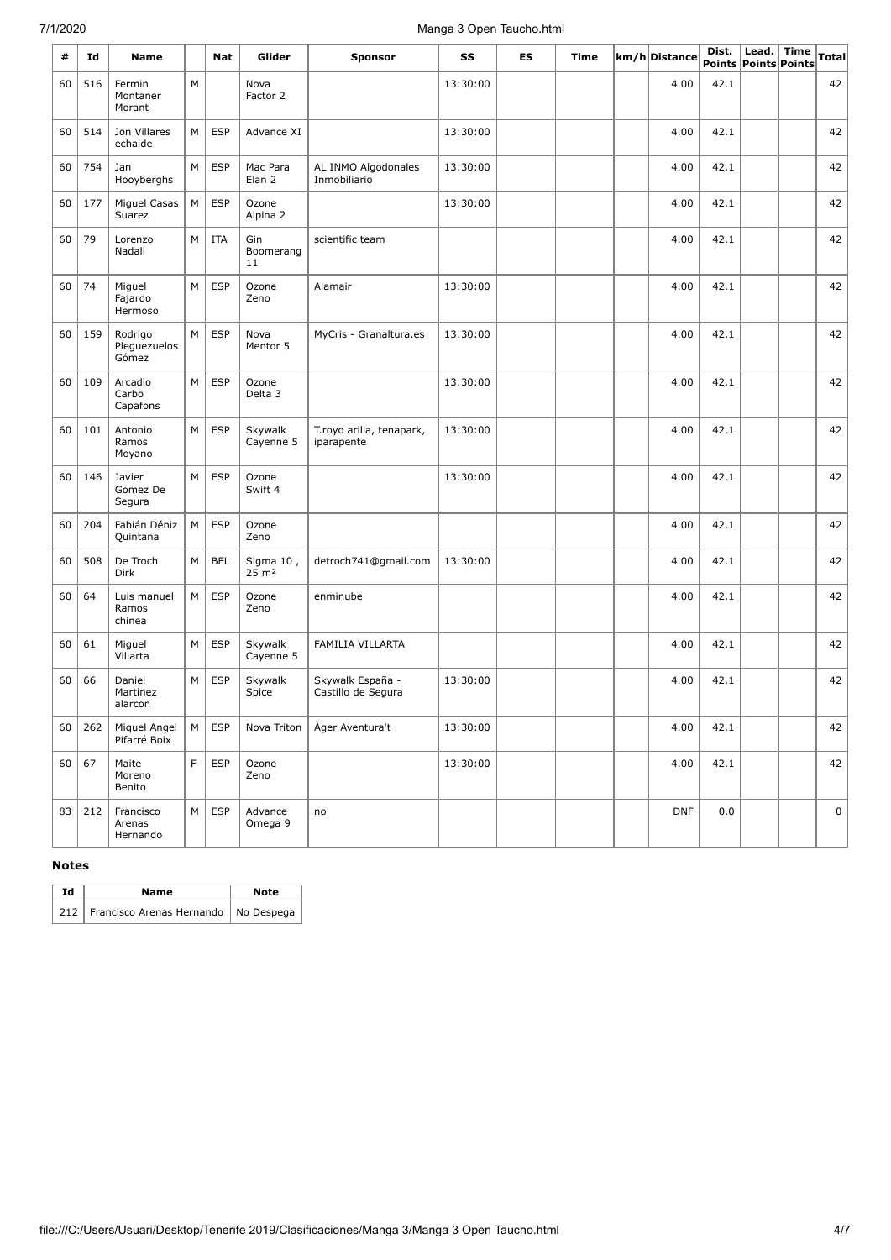# 7/1/2020 Manga 3 Open Taucho.html

| #  | Id  | Name                             |   | Nat        | Glider                        | <b>Sponsor</b>                         | SS       | ES | Time | km/h Distance | Dist. | Lead.<br>Points Points Points | <b>Time</b> | <b>Total</b> |
|----|-----|----------------------------------|---|------------|-------------------------------|----------------------------------------|----------|----|------|---------------|-------|-------------------------------|-------------|--------------|
| 60 | 516 | Fermin<br>Montaner<br>Morant     | M |            | Nova<br>Factor 2              |                                        | 13:30:00 |    |      | 4.00          | 42.1  |                               |             | 42           |
| 60 | 514 | Jon Villares<br>echaide          | M | <b>ESP</b> | Advance XI                    |                                        | 13:30:00 |    |      | 4.00          | 42.1  |                               |             | 42           |
| 60 | 754 | Jan<br>Hooyberghs                | М | <b>ESP</b> | Mac Para<br>Elan <sub>2</sub> | AL INMO Algodonales<br>Inmobiliario    | 13:30:00 |    |      | 4.00          | 42.1  |                               |             | 42           |
| 60 | 177 | Miguel Casas<br>Suarez           | М | <b>ESP</b> | Ozone<br>Alpina 2             |                                        | 13:30:00 |    |      | 4.00          | 42.1  |                               |             | 42           |
| 60 | 79  | Lorenzo<br>Nadali                | M | <b>ITA</b> | Gin<br>Boomerang<br>11        | scientific team                        |          |    |      | 4.00          | 42.1  |                               |             | 42           |
| 60 | 74  | Miguel<br>Fajardo<br>Hermoso     | M | <b>ESP</b> | Ozone<br>Zeno                 | Alamair                                | 13:30:00 |    |      | 4.00          | 42.1  |                               |             | 42           |
| 60 | 159 | Rodrigo<br>Pleguezuelos<br>Gómez | M | <b>ESP</b> | Nova<br>Mentor 5              | MyCris - Granaltura.es                 | 13:30:00 |    |      | 4.00          | 42.1  |                               |             | 42           |
| 60 | 109 | Arcadio<br>Carbo<br>Capafons     | M | <b>ESP</b> | Ozone<br>Delta 3              |                                        | 13:30:00 |    |      | 4.00          | 42.1  |                               |             | 42           |
| 60 | 101 | Antonio<br>Ramos<br>Moyano       | M | <b>ESP</b> | Skywalk<br>Cayenne 5          | T.royo arilla, tenapark,<br>iparapente | 13:30:00 |    |      | 4.00          | 42.1  |                               |             | 42           |
| 60 | 146 | Javier<br>Gomez De<br>Segura     | М | <b>ESP</b> | Ozone<br>Swift 4              |                                        | 13:30:00 |    |      | 4.00          | 42.1  |                               |             | 42           |
| 60 | 204 | Fabián Déniz<br>Quintana         | М | <b>ESP</b> | Ozone<br>Zeno                 |                                        |          |    |      | 4.00          | 42.1  |                               |             | 42           |
| 60 | 508 | De Troch<br><b>Dirk</b>          | М | BEL        | Sigma 10,<br>$25 \text{ m}^2$ | detroch741@gmail.com                   | 13:30:00 |    |      | 4.00          | 42.1  |                               |             | 42           |
| 60 | 64  | Luis manuel<br>Ramos<br>chinea   | М | <b>ESP</b> | Ozone<br>Zeno                 | enminube                               |          |    |      | 4.00          | 42.1  |                               |             | 42           |
| 60 | 61  | Miguel<br>Villarta               | М | <b>ESP</b> | Skywalk<br>Cayenne 5          | <b>FAMILIA VILLARTA</b>                |          |    |      | 4.00          | 42.1  |                               |             | 42           |
| 60 | 66  | Daniel<br>Martinez<br>alarcon    | M | <b>ESP</b> | Skywalk<br>Spice              | Skywalk España -<br>Castillo de Segura | 13:30:00 |    |      | 4.00          | 42.1  |                               |             | 42           |
| 60 | 262 | Miquel Angel<br>Pifarré Boix     | M | <b>ESP</b> | Nova Triton                   | Ager Aventura't                        | 13:30:00 |    |      | 4.00          | 42.1  |                               |             | 42           |
| 60 | 67  | Maite<br>Moreno<br>Benito        | F | <b>ESP</b> | Ozone<br>Zeno                 |                                        | 13:30:00 |    |      | 4.00          | 42.1  |                               |             | 42           |
| 83 | 212 | Francisco<br>Arenas<br>Hernando  | М | <b>ESP</b> | Advance<br>Omega 9            | no                                     |          |    |      | <b>DNF</b>    | 0.0   |                               |             | 0            |

#### **Notes**

| Ιd | Name                                         | Note |
|----|----------------------------------------------|------|
|    | 212   Francisco Arenas Hernando   No Despega |      |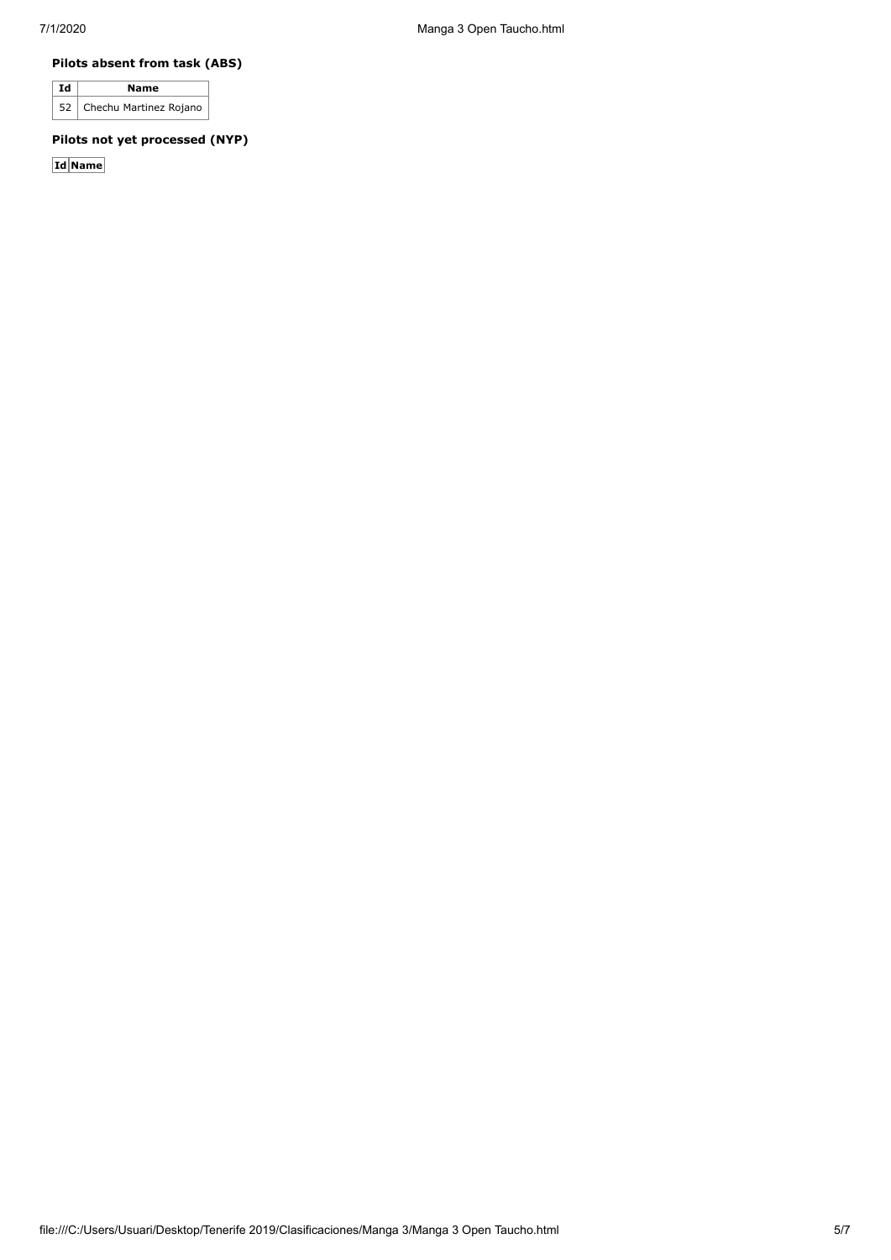#### **Pilots absent from task (ABS)**

| Td | <b>Name</b>                 |
|----|-----------------------------|
|    | 52   Chechu Martinez Rojano |

### **Pilots not yet processed (NYP)**

**Id Name**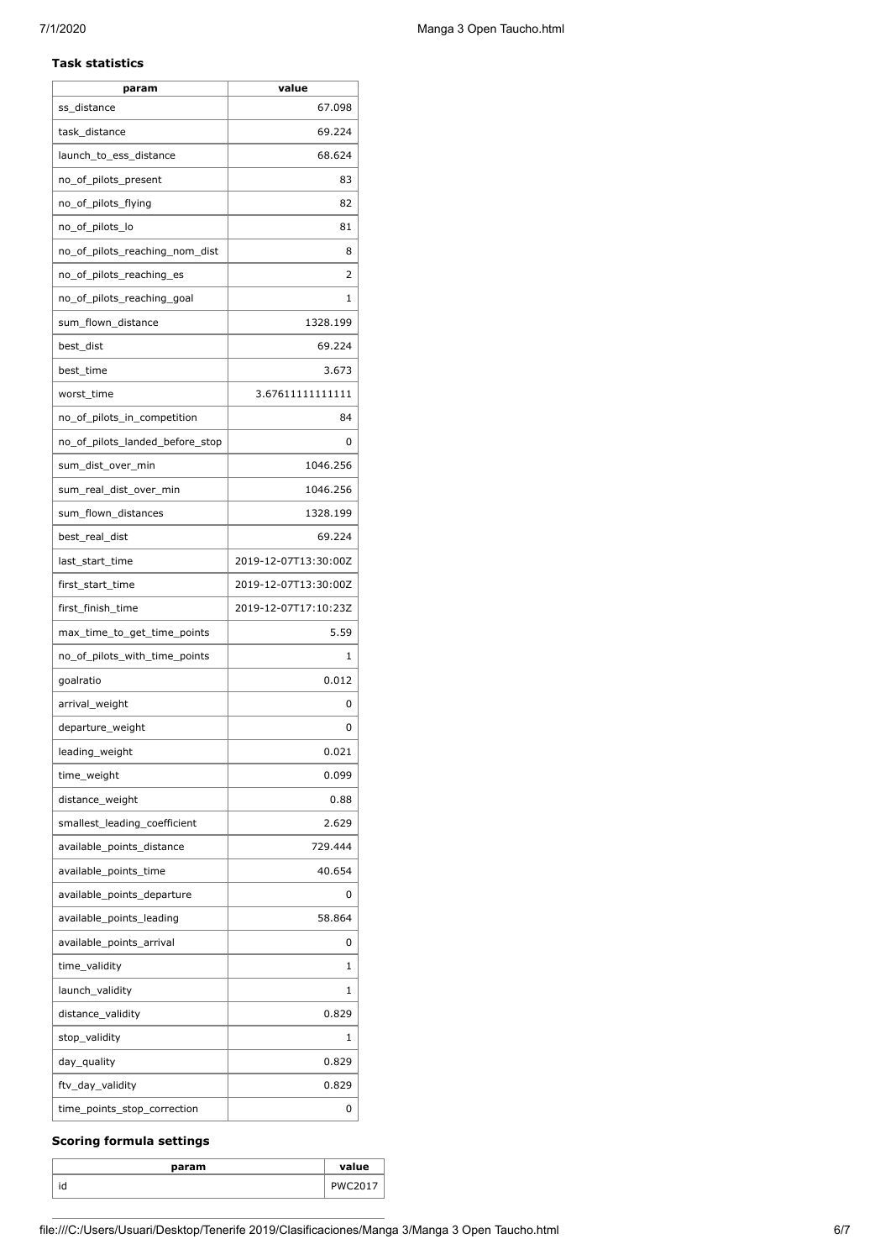#### **Task statistics**

| param                           | value                |
|---------------------------------|----------------------|
| ss distance                     | 67.098               |
| task_distance                   | 69.224               |
| launch_to_ess_distance          | 68.624               |
| no_of_pilots_present            | 83                   |
| no_of_pilots_flying             | 82                   |
| no_of_pilots_lo                 | 81                   |
| no_of_pilots_reaching_nom_dist  | 8                    |
| no_of_pilots_reaching_es        | 2                    |
| no_of_pilots_reaching_goal      | 1                    |
| sum_flown_distance              | 1328.199             |
| best_dist                       | 69.224               |
| best time                       | 3.673                |
| worst_time                      | 3.67611111111111     |
| no_of_pilots_in_competition     | 84                   |
| no_of_pilots_landed_before_stop | 0                    |
| sum_dist_over_min               | 1046.256             |
| sum_real_dist_over_min          | 1046.256             |
| sum_flown_distances             | 1328.199             |
| best_real_dist                  | 69.224               |
| last_start_time                 | 2019-12-07T13:30:00Z |
| first_start_time                | 2019-12-07T13:30:00Z |
| first_finish_time               | 2019-12-07T17:10:23Z |
| max_time_to_get_time_points     | 5.59                 |
| no_of_pilots_with_time_points   | 1                    |
| goalratio                       | 0.012                |
| arrival_weight                  | 0                    |
| departure_weight                | 0                    |
| leading_weight                  | 0.021                |
| time_weight                     | 0.099                |
| distance_weight                 | 0.88                 |
| smallest_leading_coefficient    | 2.629                |
| available_points_distance       | 729.444              |
| available_points_time           | 40.654               |
| available_points_departure      | 0                    |
| available points leading        | 58.864               |
| available_points_arrival        | 0                    |
| time_validity                   | 1                    |
| launch_validity                 | 1                    |
| distance_validity               | 0.829                |
| stop_validity                   | 1                    |
| day_quality                     | 0.829                |
| ftv_day_validity                |                      |
|                                 | 0.829                |

## **Scoring formula settings**

| param     | value |
|-----------|-------|
| . .<br>ıa |       |